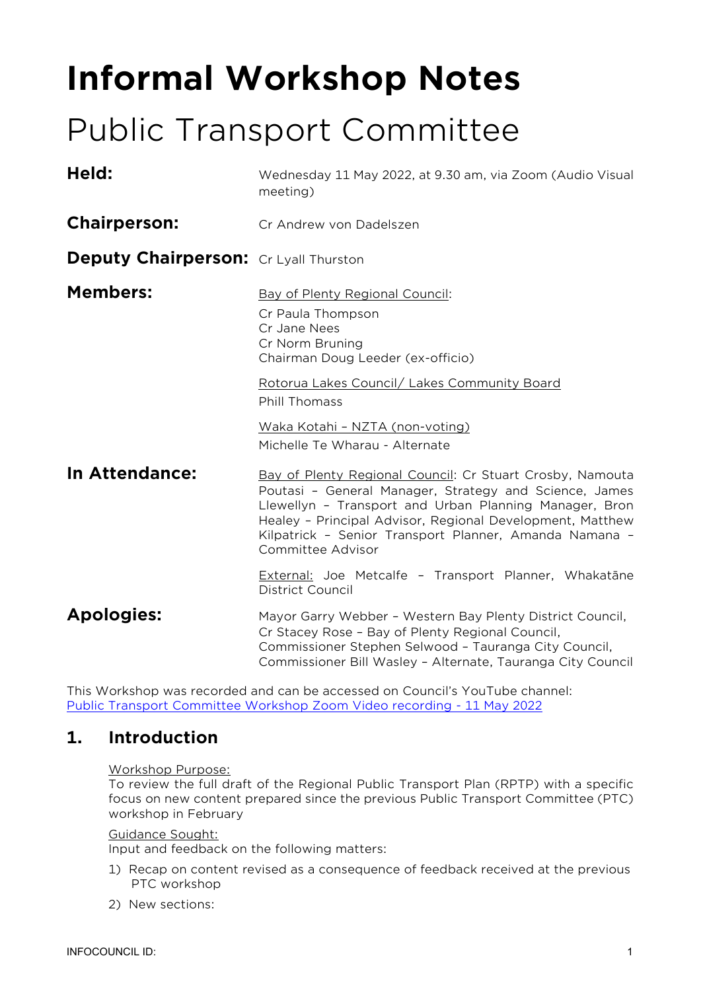# **Informal Workshop Notes**

## Public Transport Committee

| Held:                                        | Wednesday 11 May 2022, at 9.30 am, via Zoom (Audio Visual<br>meeting)                                                                                                                                                                                                                                                     |
|----------------------------------------------|---------------------------------------------------------------------------------------------------------------------------------------------------------------------------------------------------------------------------------------------------------------------------------------------------------------------------|
| <b>Chairperson:</b>                          | Cr Andrew von Dadelszen                                                                                                                                                                                                                                                                                                   |
| <b>Deputy Chairperson:</b> Cr Lyall Thurston |                                                                                                                                                                                                                                                                                                                           |
| <b>Members:</b>                              | Bay of Plenty Regional Council:<br>Cr Paula Thompson<br>Cr Jane Nees<br>Cr Norm Bruning<br>Chairman Doug Leeder (ex-officio)                                                                                                                                                                                              |
|                                              | Rotorua Lakes Council/ Lakes Community Board<br>Phill Thomass<br>Waka Kotahi - NZTA (non-voting)<br>Michelle Te Wharau - Alternate                                                                                                                                                                                        |
| In Attendance:                               | Bay of Plenty Regional Council: Cr Stuart Crosby, Namouta<br>Poutasi - General Manager, Strategy and Science, James<br>Llewellyn - Transport and Urban Planning Manager, Bron<br>Healey - Principal Advisor, Regional Development, Matthew<br>Kilpatrick - Senior Transport Planner, Amanda Namana -<br>Committee Advisor |
|                                              | External: Joe Metcalfe - Transport Planner, Whakatāne<br>District Council                                                                                                                                                                                                                                                 |
| <b>Apologies:</b>                            | Mayor Garry Webber - Western Bay Plenty District Council,<br>Cr Stacey Rose - Bay of Plenty Regional Council,<br>Commissioner Stephen Selwood - Tauranga City Council,<br>Commissioner Bill Wasley - Alternate, Tauranga City Council                                                                                     |

This Workshop was recorded and can be accessed on Council's YouTube channel: [Public Transport Committee Workshop Zoom Video recording -](https://www.youtube.com/watch?v=jZ1itoQmARI) 11 May 2022

## **1. Introduction**

#### Workshop Purpose:

To review the full draft of the Regional Public Transport Plan (RPTP) with a specific focus on new content prepared since the previous Public Transport Committee (PTC) workshop in February

#### Guidance Sought:

Input and feedback on the following matters:

- 1) Recap on content revised as a consequence of feedback received at the previous PTC workshop
- 2) New sections: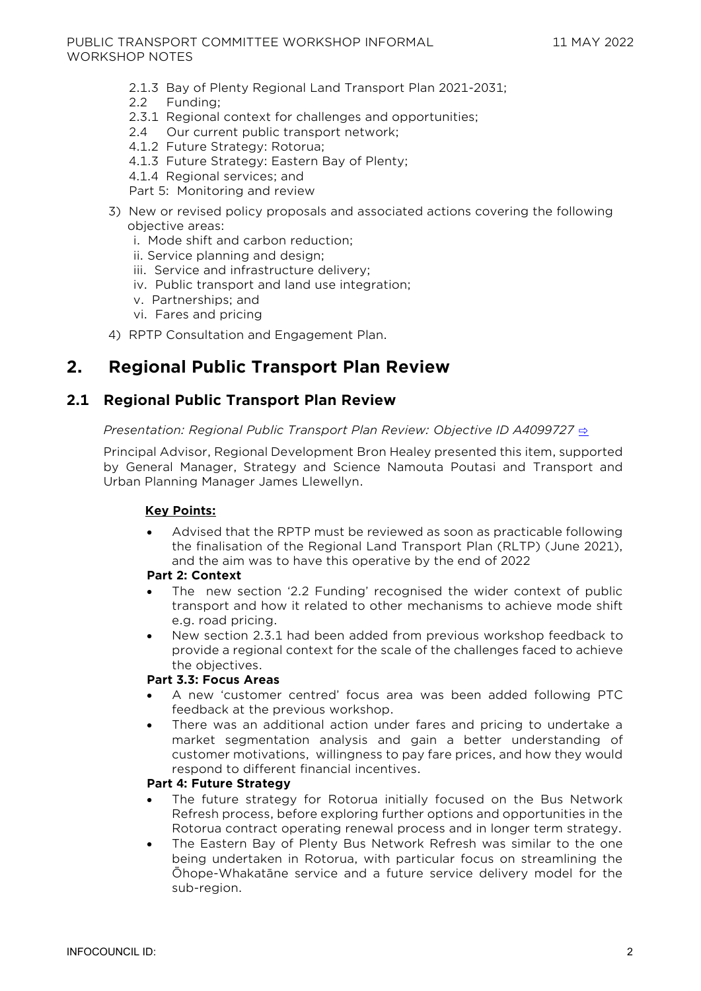- 2.1.3 Bay of Plenty Regional Land Transport Plan 2021-2031;
- 2.2 Funding;
- 2.3.1 Regional context for challenges and opportunities;
- 2.4 Our current public transport network;
- 4.1.2 Future Strategy: Rotorua;
- 4.1.3 Future Strategy: Eastern Bay of Plenty;
- 4.1.4 Regional services; and

Part 5: Monitoring and review

- 3) New or revised policy proposals and associated actions covering the following objective areas:
	- i. Mode shift and carbon reduction;
	- ii. Service planning and design;
	- iii. Service and infrastructure delivery;
	- iv. Public transport and land use integration;
	- v. Partnerships; and
	- vi. Fares and pricing

4) RPTP Consultation and Engagement Plan.

## **2. Regional Public Transport Plan Review**

### **2.1 Regional Public Transport Plan Review**

#### *Presentation: Regional Public Transport Plan Review: Objective ID A4099727* **[⇨](../../../RedirectToInvalidFileName.aspx?FileName=PTW_20220511_MAT_3538.PDF#PAGE=2)**

Principal Advisor, Regional Development Bron Healey presented this item, supported by General Manager, Strategy and Science Namouta Poutasi and Transport and Urban Planning Manager James Llewellyn.

#### **Key Points:**

• Advised that the RPTP must be reviewed as soon as practicable following the finalisation of the Regional Land Transport Plan (RLTP) (June 2021), and the aim was to have this operative by the end of 2022

#### **Part 2: Context**

- The new section '2.2 Funding' recognised the wider context of public transport and how it related to other mechanisms to achieve mode shift e.g. road pricing.
- New section 2.3.1 had been added from previous workshop feedback to provide a regional context for the scale of the challenges faced to achieve the objectives.

#### **Part 3.3: Focus Areas**

- A new 'customer centred' focus area was been added following PTC feedback at the previous workshop.
- There was an additional action under fares and pricing to undertake a market segmentation analysis and gain a better understanding of customer motivations, willingness to pay fare prices, and how they would respond to different financial incentives.

#### **Part 4: Future Strategy**

- The future strategy for Rotorua initially focused on the Bus Network Refresh process, before exploring further options and opportunities in the Rotorua contract operating renewal process and in longer term strategy.
- The Eastern Bay of Plenty Bus Network Refresh was similar to the one being undertaken in Rotorua, with particular focus on streamlining the Ōhope-Whakatāne service and a future service delivery model for the sub-region.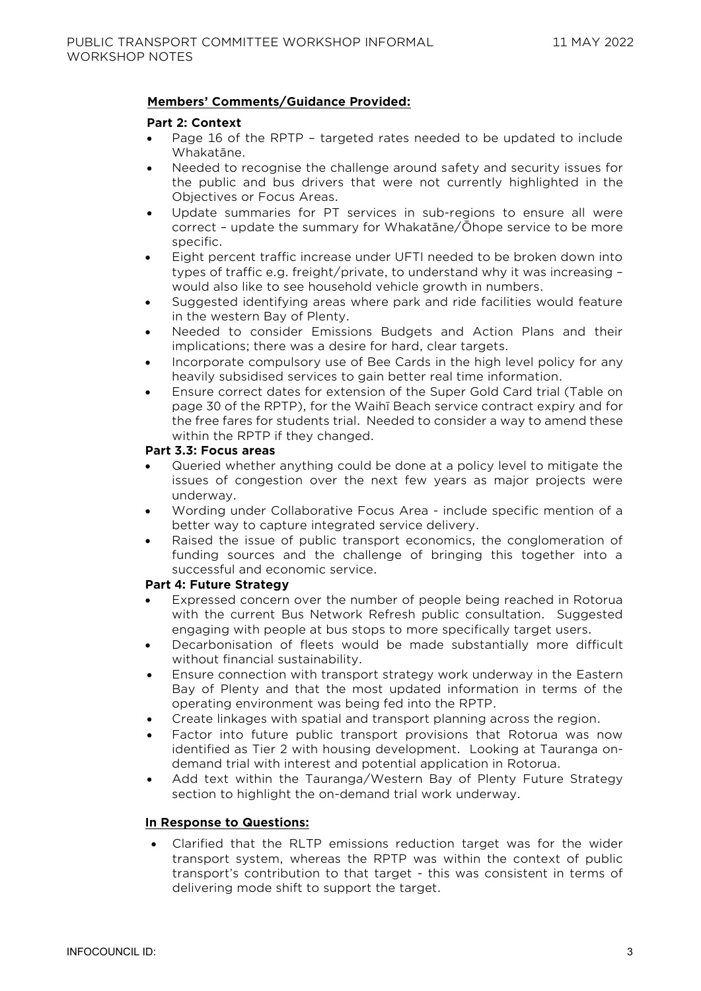#### **Members' Comments/Guidance Provided:**

#### **Part 2: Context**

- Page 16 of the RPTP targeted rates needed to be updated to include Whakatāne.
- Needed to recognise the challenge around safety and security issues for the public and bus drivers that were not currently highlighted in the Objectives or Focus Areas.
- Update summaries for PT services in sub-regions to ensure all were correct – update the summary for Whakatāne/Ōhope service to be more specific.
- Eight percent traffic increase under UFTI needed to be broken down into types of traffic e.g. freight/private, to understand why it was increasing – would also like to see household vehicle growth in numbers.
- Suggested identifying areas where park and ride facilities would feature in the western Bay of Plenty.
- Needed to consider Emissions Budgets and Action Plans and their implications; there was a desire for hard, clear targets.
- Incorporate compulsory use of Bee Cards in the high level policy for any heavily subsidised services to gain better real time information.
- Ensure correct dates for extension of the Super Gold Card trial (Table on page 30 of the RPTP), for the Waihī Beach service contract expiry and for the free fares for students trial. Needed to consider a way to amend these within the RPTP if they changed.

#### **Part 3.3: Focus areas**

- Queried whether anything could be done at a policy level to mitigate the issues of congestion over the next few years as major projects were underway.
- Wording under Collaborative Focus Area include specific mention of a better way to capture integrated service delivery.
- Raised the issue of public transport economics, the conglomeration of funding sources and the challenge of bringing this together into a successful and economic service.

#### **Part 4: Future Strategy**

- Expressed concern over the number of people being reached in Rotorua with the current Bus Network Refresh public consultation. Suggested engaging with people at bus stops to more specifically target users.
- Decarbonisation of fleets would be made substantially more difficult without financial sustainability.
- Ensure connection with transport strategy work underway in the Eastern Bay of Plenty and that the most updated information in terms of the operating environment was being fed into the RPTP.
- Create linkages with spatial and transport planning across the region.
- Factor into future public transport provisions that Rotorua was now identified as Tier 2 with housing development. Looking at Tauranga ondemand trial with interest and potential application in Rotorua.
- Add text within the Tauranga/Western Bay of Plenty Future Strategy section to highlight the on-demand trial work underway.

#### **In Response to Questions:**

• Clarified that the RLTP emissions reduction target was for the wider transport system, whereas the RPTP was within the context of public transport's contribution to that target - this was consistent in terms of delivering mode shift to support the target.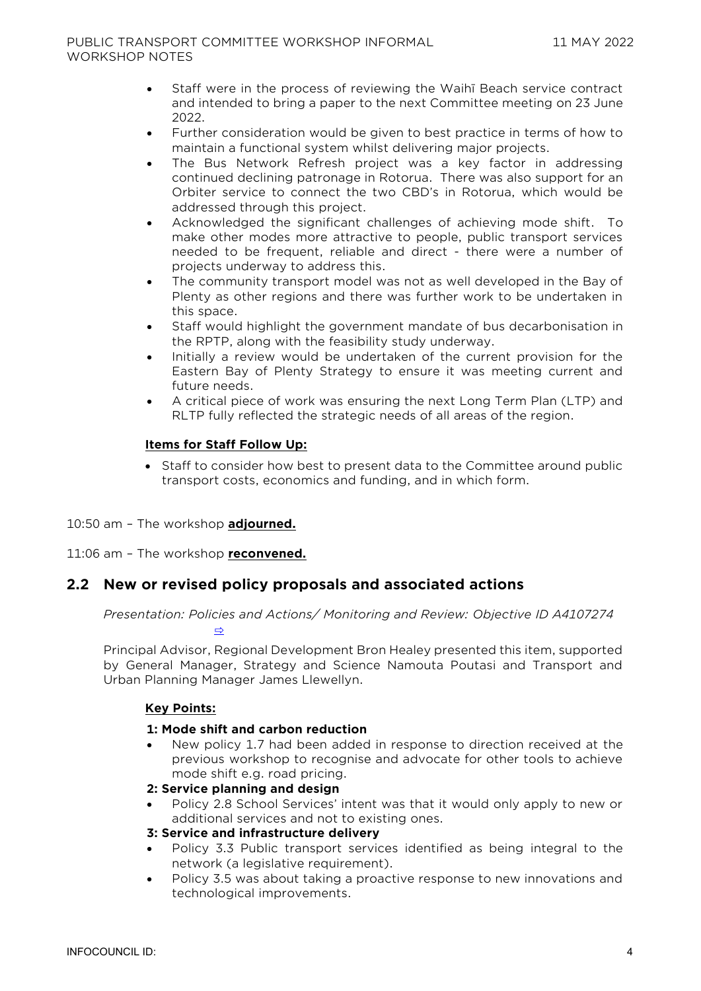- Staff were in the process of reviewing the Waihī Beach service contract and intended to bring a paper to the next Committee meeting on 23 June 2022.
- Further consideration would be given to best practice in terms of how to maintain a functional system whilst delivering major projects.
- The Bus Network Refresh project was a key factor in addressing continued declining patronage in Rotorua. There was also support for an Orbiter service to connect the two CBD's in Rotorua, which would be addressed through this project.
- Acknowledged the significant challenges of achieving mode shift. To make other modes more attractive to people, public transport services needed to be frequent, reliable and direct - there were a number of projects underway to address this.
- The community transport model was not as well developed in the Bay of Plenty as other regions and there was further work to be undertaken in this space.
- Staff would highlight the government mandate of bus decarbonisation in the RPTP, along with the feasibility study underway.
- Initially a review would be undertaken of the current provision for the Eastern Bay of Plenty Strategy to ensure it was meeting current and future needs.
- A critical piece of work was ensuring the next Long Term Plan (LTP) and RLTP fully reflected the strategic needs of all areas of the region.

#### **Items for Staff Follow Up:**

• Staff to consider how best to present data to the Committee around public transport costs, economics and funding, and in which form.

#### 10:50 am – The workshop **adjourned.**

11:06 am – The workshop **reconvened.**

#### **2.2 New or revised policy proposals and associated actions**

*Presentation: Policies and Actions/ Monitoring and Review: Objective ID A4107274* 

[⇨](../../../RedirectToInvalidFileName.aspx?FileName=PTW_20220511_MAT_3538.PDF#PAGE=29)

Principal Advisor, Regional Development Bron Healey presented this item, supported by General Manager, Strategy and Science Namouta Poutasi and Transport and Urban Planning Manager James Llewellyn.

#### **Key Points:**

#### **1: Mode shift and carbon reduction**

• New policy 1.7 had been added in response to direction received at the previous workshop to recognise and advocate for other tools to achieve mode shift e.g. road pricing.

#### **2: Service planning and design**

• Policy 2.8 School Services' intent was that it would only apply to new or additional services and not to existing ones.

#### **3: Service and infrastructure delivery**

- Policy 3.3 Public transport services identified as being integral to the network (a legislative requirement).
- Policy 3.5 was about taking a proactive response to new innovations and technological improvements.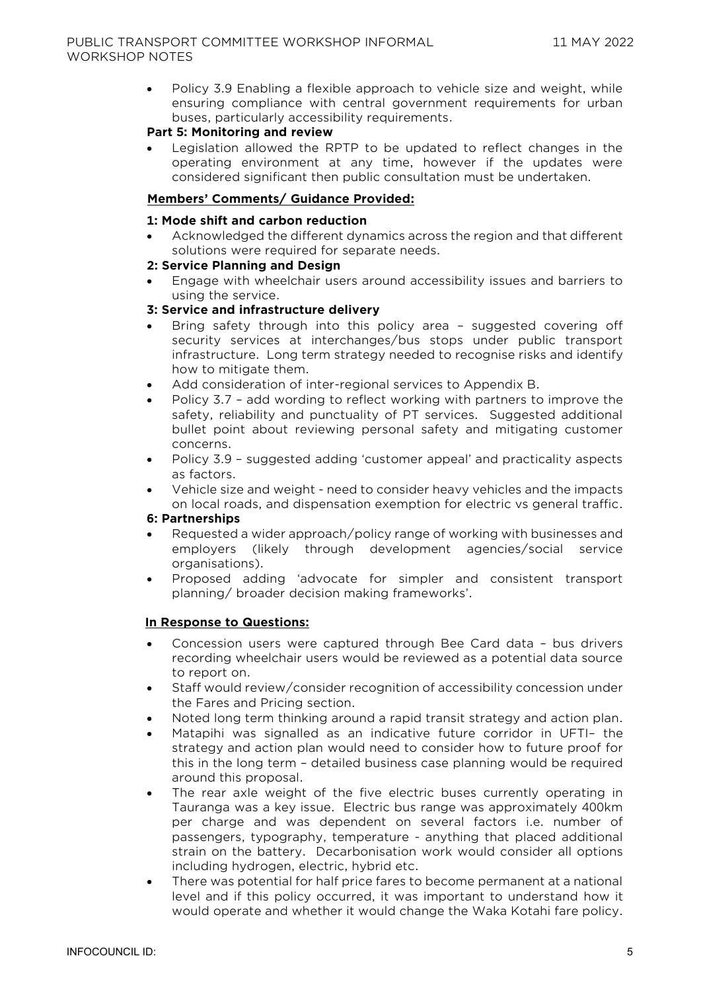• Policy 3.9 Enabling a flexible approach to vehicle size and weight, while ensuring compliance with central government requirements for urban buses, particularly accessibility requirements.

#### **Part 5: Monitoring and review**

Legislation allowed the RPTP to be updated to reflect changes in the operating environment at any time, however if the updates were considered significant then public consultation must be undertaken.

#### **Members' Comments/ Guidance Provided:**

#### **1: Mode shift and carbon reduction**

• Acknowledged the different dynamics across the region and that different solutions were required for separate needs.

#### **2: Service Planning and Design**

• Engage with wheelchair users around accessibility issues and barriers to using the service.

#### **3: Service and infrastructure delivery**

- Bring safety through into this policy area suggested covering off security services at interchanges/bus stops under public transport infrastructure. Long term strategy needed to recognise risks and identify how to mitigate them.
- Add consideration of inter-regional services to Appendix B.
- Policy 3.7 add wording to reflect working with partners to improve the safety, reliability and punctuality of PT services. Suggested additional bullet point about reviewing personal safety and mitigating customer concerns.
- Policy 3.9 suggested adding 'customer appeal' and practicality aspects as factors.
- Vehicle size and weight need to consider heavy vehicles and the impacts on local roads, and dispensation exemption for electric vs general traffic.

#### **6: Partnerships**

- Requested a wider approach/policy range of working with businesses and employers (likely through development agencies/social service organisations).
- Proposed adding 'advocate for simpler and consistent transport planning/ broader decision making frameworks'.

#### **In Response to Questions:**

- Concession users were captured through Bee Card data bus drivers recording wheelchair users would be reviewed as a potential data source to report on.
- Staff would review/consider recognition of accessibility concession under the Fares and Pricing section.
- Noted long term thinking around a rapid transit strategy and action plan.
- Matapihi was signalled as an indicative future corridor in UFTI– the strategy and action plan would need to consider how to future proof for this in the long term – detailed business case planning would be required around this proposal.
- The rear axle weight of the five electric buses currently operating in Tauranga was a key issue. Electric bus range was approximately 400km per charge and was dependent on several factors i.e. number of passengers, typography, temperature - anything that placed additional strain on the battery. Decarbonisation work would consider all options including hydrogen, electric, hybrid etc.
- There was potential for half price fares to become permanent at a national level and if this policy occurred, it was important to understand how it would operate and whether it would change the Waka Kotahi fare policy.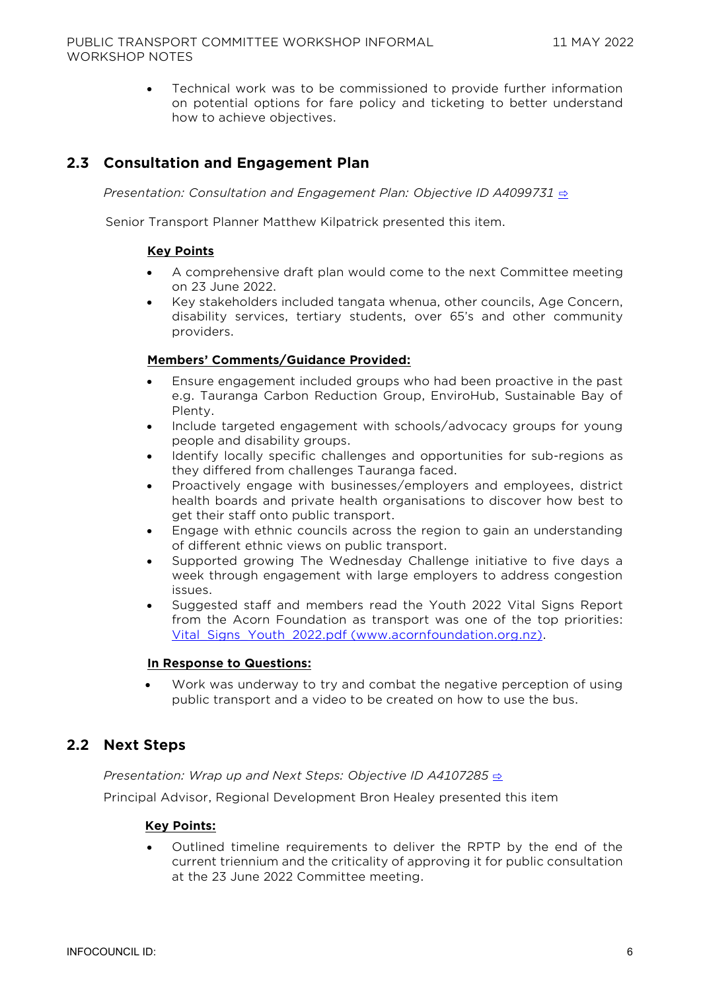• Technical work was to be commissioned to provide further information on potential options for fare policy and ticketing to better understand how to achieve objectives.

## **2.3 Consultation and Engagement Plan**

*Presentation: Consultation and Engagement Plan: Objective ID A4099731* [⇨](../../../RedirectToInvalidFileName.aspx?FileName=PTW_20220511_MAT_3538.PDF#PAGE=44)

Senior Transport Planner Matthew Kilpatrick presented this item.

#### **Key Points**

- A comprehensive draft plan would come to the next Committee meeting on 23 June 2022.
- Key stakeholders included tangata whenua, other councils, Age Concern, disability services, tertiary students, over 65's and other community providers.

#### **Members' Comments/Guidance Provided:**

- Ensure engagement included groups who had been proactive in the past e.g. Tauranga Carbon Reduction Group, EnviroHub, Sustainable Bay of Plenty.
- Include targeted engagement with schools/advocacy groups for young people and disability groups.
- Identify locally specific challenges and opportunities for sub-regions as they differed from challenges Tauranga faced.
- Proactively engage with businesses/employers and employees, district health boards and private health organisations to discover how best to get their staff onto public transport.
- Engage with ethnic councils across the region to gain an understanding of different ethnic views on public transport.
- Supported growing The Wednesday Challenge initiative to five days a week through engagement with large employers to address congestion issues.
- Suggested staff and members read the Youth 2022 Vital Signs Report from the Acorn Foundation as transport was one of the top priorities: Vital Signs Youth 2022.pdf (www.acornfoundation.org.nz).

#### **In Response to Questions:**

• Work was underway to try and combat the negative perception of using public transport and a video to be created on how to use the bus.

#### **2.2 Next Steps**

*Presentation: Wrap up and Next Steps: Objective ID A4107285* **[⇨](../../../RedirectToInvalidFileName.aspx?FileName=PTW_20220511_MAT_3538.PDF#PAGE=49)** 

Principal Advisor, Regional Development Bron Healey presented this item

#### **Key Points:**

• Outlined timeline requirements to deliver the RPTP by the end of the current triennium and the criticality of approving it for public consultation at the 23 June 2022 Committee meeting.